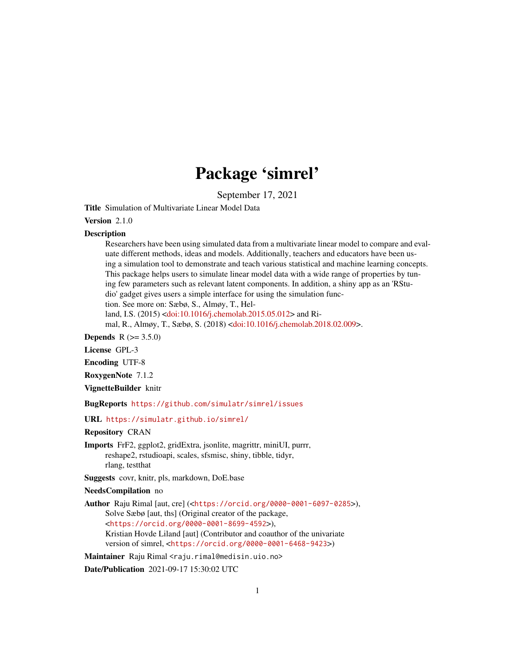# Package 'simrel'

September 17, 2021

Title Simulation of Multivariate Linear Model Data

Version 2.1.0

#### **Description**

Researchers have been using simulated data from a multivariate linear model to compare and evaluate different methods, ideas and models. Additionally, teachers and educators have been using a simulation tool to demonstrate and teach various statistical and machine learning concepts. This package helps users to simulate linear model data with a wide range of properties by tuning few parameters such as relevant latent components. In addition, a shiny app as an 'RStudio' gadget gives users a simple interface for using the simulation function. See more on: Sæbø, S., Almøy, T., Hel-

land, I.S. (2015) [<doi:10.1016/j.chemolab.2015.05.012>](https://doi.org/10.1016/j.chemolab.2015.05.012) and Ri-

mal, R., Almøy, T., Sæbø, S. (2018) [<doi:10.1016/j.chemolab.2018.02.009>](https://doi.org/10.1016/j.chemolab.2018.02.009).

**Depends** R  $(>= 3.5.0)$ 

License GPL-3

Encoding UTF-8

RoxygenNote 7.1.2

VignetteBuilder knitr

BugReports <https://github.com/simulatr/simrel/issues>

URL <https://simulatr.github.io/simrel/>

Repository CRAN

Imports FrF2, ggplot2, gridExtra, jsonlite, magrittr, miniUI, purrr, reshape2, rstudioapi, scales, sfsmisc, shiny, tibble, tidyr, rlang, testthat

Suggests covr, knitr, pls, markdown, DoE.base

#### NeedsCompilation no

Author Raju Rimal [aut, cre] (<<https://orcid.org/0000-0001-6097-0285>>), Solve Sæbø [aut, ths] (Original creator of the package, <<https://orcid.org/0000-0001-8699-4592>>), Kristian Hovde Liland [aut] (Contributor and coauthor of the univariate version of simrel, <<https://orcid.org/0000-0001-6468-9423>>)

Maintainer Raju Rimal <raju.rimal@medisin.uio.no>

Date/Publication 2021-09-17 15:30:02 UTC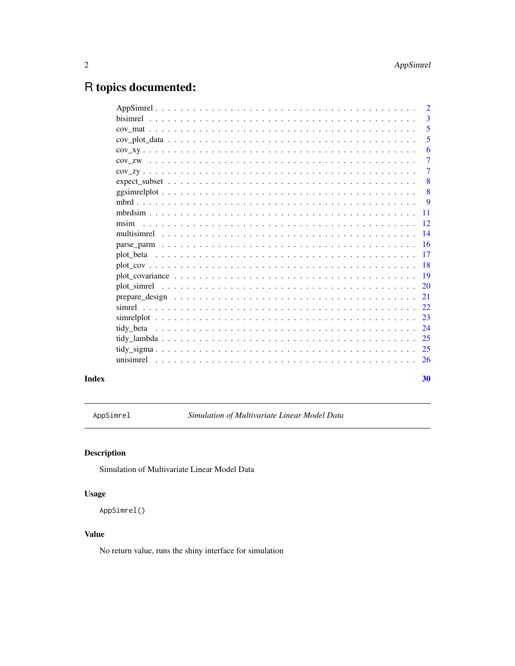# <span id="page-1-0"></span>R topics documented:

|                       |  |  |  |  |  |  |  |  |  |  |  |  | $\mathcal{D}_{\mathcal{L}}$ |
|-----------------------|--|--|--|--|--|--|--|--|--|--|--|--|-----------------------------|
|                       |  |  |  |  |  |  |  |  |  |  |  |  | 3                           |
|                       |  |  |  |  |  |  |  |  |  |  |  |  | 5                           |
|                       |  |  |  |  |  |  |  |  |  |  |  |  | 5                           |
|                       |  |  |  |  |  |  |  |  |  |  |  |  | 6                           |
|                       |  |  |  |  |  |  |  |  |  |  |  |  | $\overline{7}$              |
|                       |  |  |  |  |  |  |  |  |  |  |  |  | $\tau$                      |
| $expect\_subset$ . $$ |  |  |  |  |  |  |  |  |  |  |  |  | 8                           |
|                       |  |  |  |  |  |  |  |  |  |  |  |  | -8                          |
|                       |  |  |  |  |  |  |  |  |  |  |  |  | 9                           |
|                       |  |  |  |  |  |  |  |  |  |  |  |  | $-11$                       |
| msim                  |  |  |  |  |  |  |  |  |  |  |  |  | <sup>12</sup>               |
|                       |  |  |  |  |  |  |  |  |  |  |  |  | 14                          |
|                       |  |  |  |  |  |  |  |  |  |  |  |  | 16                          |
|                       |  |  |  |  |  |  |  |  |  |  |  |  | 17                          |
|                       |  |  |  |  |  |  |  |  |  |  |  |  | -18                         |
|                       |  |  |  |  |  |  |  |  |  |  |  |  | <b>19</b>                   |
|                       |  |  |  |  |  |  |  |  |  |  |  |  | <sup>20</sup>               |
|                       |  |  |  |  |  |  |  |  |  |  |  |  | 21                          |
|                       |  |  |  |  |  |  |  |  |  |  |  |  | 22                          |
|                       |  |  |  |  |  |  |  |  |  |  |  |  | 23                          |
|                       |  |  |  |  |  |  |  |  |  |  |  |  | 24                          |
|                       |  |  |  |  |  |  |  |  |  |  |  |  | 25                          |
|                       |  |  |  |  |  |  |  |  |  |  |  |  |                             |
|                       |  |  |  |  |  |  |  |  |  |  |  |  |                             |
|                       |  |  |  |  |  |  |  |  |  |  |  |  |                             |
|                       |  |  |  |  |  |  |  |  |  |  |  |  | 30                          |

# **Index**

AppSimrel

Simulation of Multivariate Linear Model Data

# Description

Simulation of Multivariate Linear Model Data

# **Usage**

AppSimrel()

# **Value**

No return value, runs the shiny interface for simulation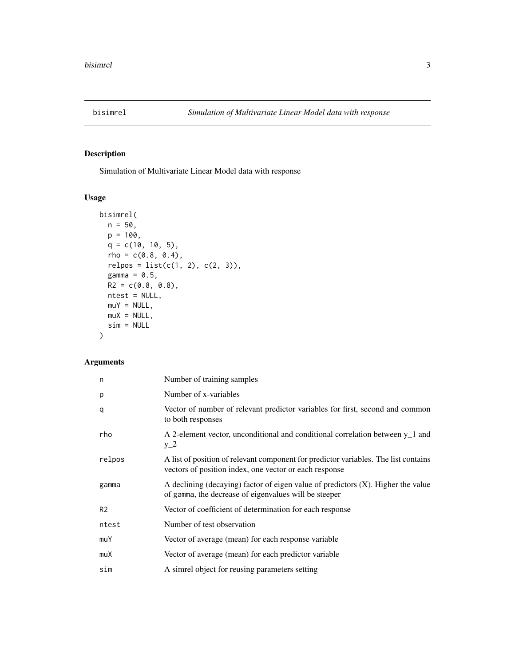<span id="page-2-1"></span><span id="page-2-0"></span>

Simulation of Multivariate Linear Model data with response

# Usage

```
bisimrel(
 n = 50,
 p = 100,q = c(10, 10, 5),
 rho = c(0.8, 0.4),relpos = list(c(1, 2), c(2, 3)),gamma = 0.5,
 R2 = c(0.8, 0.8),ntest = NULL,
 muY = NULL,muX = NULL,sim = NULL)
```
# Arguments

| n              | Number of training samples                                                                                                                    |
|----------------|-----------------------------------------------------------------------------------------------------------------------------------------------|
| p              | Number of x-variables                                                                                                                         |
| q              | Vector of number of relevant predictor variables for first, second and common<br>to both responses                                            |
| rho            | A 2-element vector, unconditional and conditional correlation between y <sub>1</sub> and<br>$y_2$                                             |
| relpos         | A list of position of relevant component for predictor variables. The list contains<br>vectors of position index, one vector or each response |
| gamma          | A declining (decaying) factor of eigen value of predictors $(X)$ . Higher the value<br>of gamma, the decrease of eigenvalues will be steeper  |
| R <sub>2</sub> | Vector of coefficient of determination for each response                                                                                      |
| ntest          | Number of test observation                                                                                                                    |
| muY            | Vector of average (mean) for each response variable                                                                                           |
| muX            | Vector of average (mean) for each predictor variable                                                                                          |
| sim            | A simrel object for reusing parameters setting                                                                                                |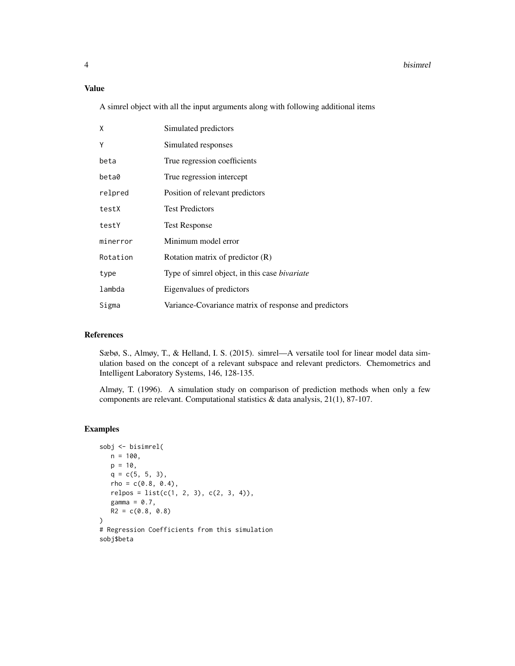#### Value

A simrel object with all the input arguments along with following additional items

| X        | Simulated predictors                                  |
|----------|-------------------------------------------------------|
| Υ        | Simulated responses                                   |
| beta     | True regression coefficients                          |
| beta0    | True regression intercept                             |
| relpred  | Position of relevant predictors                       |
| testX    | <b>Test Predictors</b>                                |
| testY    | <b>Test Response</b>                                  |
| minerror | Minimum model error                                   |
| Rotation | Rotation matrix of predictor $(R)$                    |
| type     | Type of simrel object, in this case <i>bivariate</i>  |
| lambda   | Eigenvalues of predictors                             |
| Sigma    | Variance-Covariance matrix of response and predictors |

#### References

Sæbø, S., Almøy, T., & Helland, I. S. (2015). simrel—A versatile tool for linear model data simulation based on the concept of a relevant subspace and relevant predictors. Chemometrics and Intelligent Laboratory Systems, 146, 128-135.

Almøy, T. (1996). A simulation study on comparison of prediction methods when only a few components are relevant. Computational statistics & data analysis, 21(1), 87-107.

```
sobj <- bisimrel(
  n = 100,p = 10,
  q = c(5, 5, 3),
   rho = c(0.8, 0.4),
   relpos = list(c(1, 2, 3), c(2, 3, 4)),gamma = 0.7,
   R2 = c(0.8, 0.8))
# Regression Coefficients from this simulation
sobj$beta
```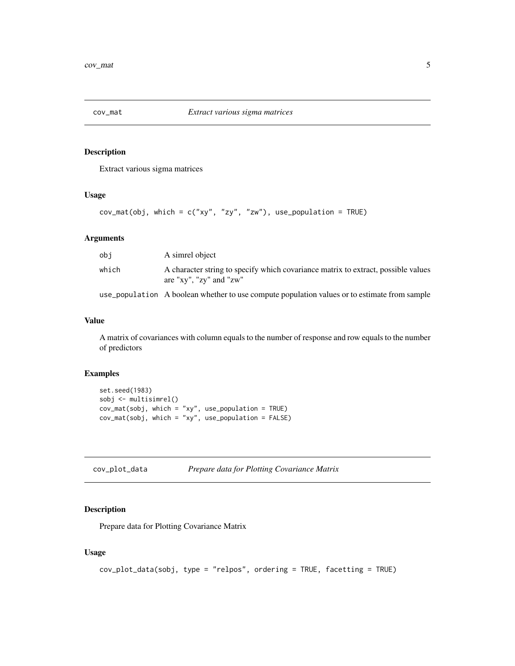<span id="page-4-0"></span>

Extract various sigma matrices

#### Usage

```
cov_mat(obj, which = c("xy", "zy", "zw"), use_population = TRUE)
```
#### Arguments

| obi   | A simrel object                                                                                                          |
|-------|--------------------------------------------------------------------------------------------------------------------------|
| which | A character string to specify which covariance matrix to extract, possible values<br>are " $xy$ ", " $zy$ " and " $zw$ " |
|       | use_population A boolean whether to use compute population values or to estimate from sample                             |

#### Value

A matrix of covariances with column equals to the number of response and row equals to the number of predictors

# Examples

```
set.seed(1983)
sobj <- multisimrel()
cov_mat(sobj, which = "xy", use_population = TRUE)
cov_mat(sobj, which = "xy", use_population = FALSE)
```

| cov_plot_data | Prepare data for Plotting Covariance Matrix |
|---------------|---------------------------------------------|
|---------------|---------------------------------------------|

# Description

Prepare data for Plotting Covariance Matrix

#### Usage

```
cov_plot_data(sobj, type = "relpos", ordering = TRUE, facetting = TRUE)
```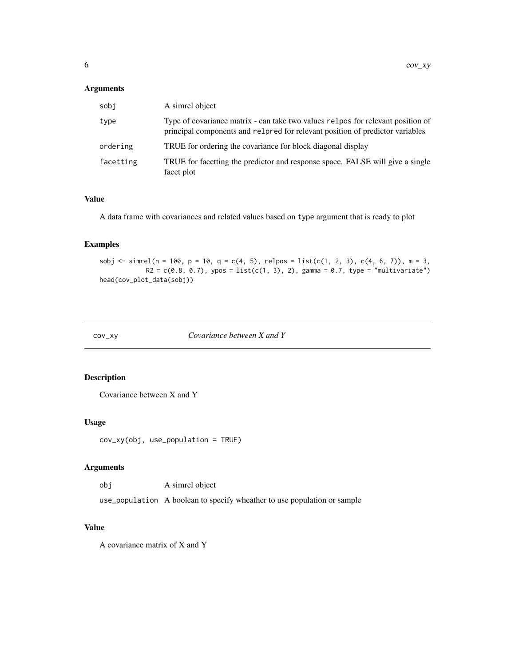#### <span id="page-5-0"></span>Arguments

| sobi      | A simrel object                                                                                                                                                  |
|-----------|------------------------------------------------------------------------------------------------------------------------------------------------------------------|
| type      | Type of covariance matrix - can take two values relpos for relevant position of<br>principal components and relation of relevant position of predictor variables |
| ordering  | TRUE for ordering the covariance for block diagonal display                                                                                                      |
| facetting | TRUE for facetting the predictor and response space. FALSE will give a single<br>facet plot                                                                      |

# Value

A data frame with covariances and related values based on type argument that is ready to plot

#### Examples

sobj <- simrel(n = 100, p = 10, q = c(4, 5), relpos = list(c(1, 2, 3), c(4, 6, 7)), m = 3,  $R2 = c(0.8, 0.7)$ , ypos = list(c(1, 3), 2), gamma = 0.7, type = "multivariate") head(cov\_plot\_data(sobj))

cov\_xy *Covariance between X and Y*

#### Description

Covariance between X and Y

#### Usage

cov\_xy(obj, use\_population = TRUE)

# Arguments

obj A simrel object

use\_population A boolean to specify wheather to use population or sample

# Value

A covariance matrix of X and Y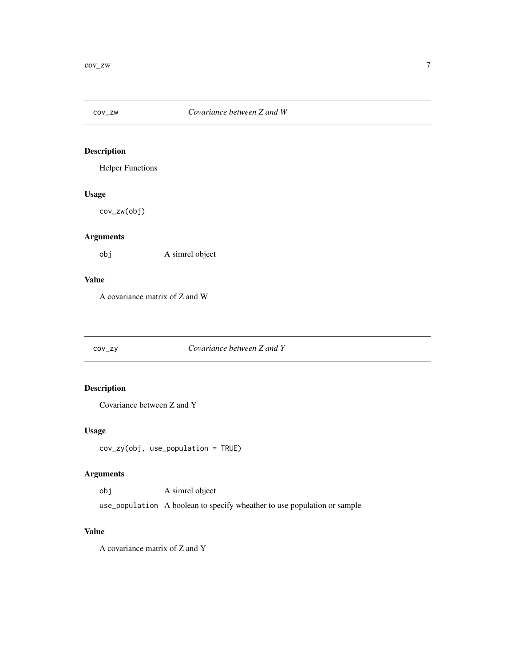<span id="page-6-0"></span>

Helper Functions

# Usage

cov\_zw(obj)

# Arguments

obj A simrel object

#### Value

A covariance matrix of Z and W

# cov\_zy *Covariance between Z and Y*

# Description

Covariance between Z and Y

# Usage

cov\_zy(obj, use\_population = TRUE)

# Arguments

obj A simrel object

use\_population A boolean to specify wheather to use population or sample

# Value

A covariance matrix of Z and Y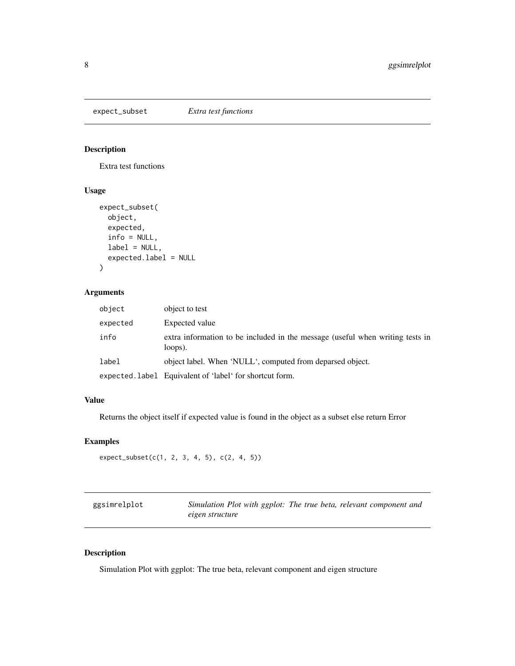<span id="page-7-0"></span>

Extra test functions

#### Usage

```
expect_subset(
 object,
 expected,
 info = NULL,
 label = NULL,expected.label = NULL
)
```
# Arguments

| object   | object to test                                                                           |
|----------|------------------------------------------------------------------------------------------|
| expected | Expected value                                                                           |
| info     | extra information to be included in the message (useful when writing tests in<br>loops). |
| label    | object label. When 'NULL', computed from deparsed object.                                |
|          | expected.label Equivalent of 'label' for shortcut form.                                  |

# Value

Returns the object itself if expected value is found in the object as a subset else return Error

# Examples

```
expect_subset(c(1, 2, 3, 4, 5), c(2, 4, 5))
```

| ggsimrelplot | Simulation Plot with ggplot: The true beta, relevant component and |  |  |
|--------------|--------------------------------------------------------------------|--|--|
|              | eigen structure                                                    |  |  |

# Description

Simulation Plot with ggplot: The true beta, relevant component and eigen structure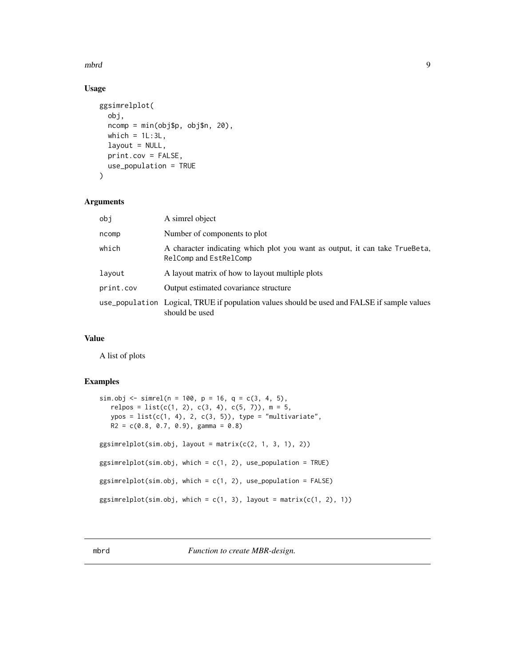<span id="page-8-0"></span>mbrd 99 September 2008 and 2008 and 2008 and 2008 and 2008 and 2008 and 2008 and 2008 and 2008 and 2008 and 20

# Usage

```
ggsimrelplot(
  obj,
  ncomp = min(obj$p, obj$n, 20),
 which = 1L:3L,
  layout = NULL,
 print.cov = FALSE,
 use_population = TRUE
\mathcal{L}
```
#### Arguments

| obi       | A simrel object                                                                                               |
|-----------|---------------------------------------------------------------------------------------------------------------|
| ncomp     | Number of components to plot                                                                                  |
| which     | A character indicating which plot you want as output, it can take TrueBeta,<br>RelComp and EstRelComp         |
| lavout    | A layout matrix of how to layout multiple plots                                                               |
| print.cov | Output estimated covariance structure                                                                         |
|           | use_population Logical, TRUE if population values should be used and FALSE if sample values<br>should be used |

# Value

A list of plots

#### Examples

```
sim.obj <- simrel(n = 100, p = 16, q = c(3, 4, 5),
  relpos = list(c(1, 2), c(3, 4), c(5, 7)), m = 5,ypos = list(c(1, 4), 2, c(3, 5)), type = "multivariate",
  R2 = c(0.8, 0.7, 0.9), gamma = 0.8)
ggsimrelplot(sim.obj, layout = matrix(c(2, 1, 3, 1), 2))
ggsimrelplot(sim.obj, which = c(1, 2), use\_population = TRUE)ggsimrelplot(sim.obj, which = c(1, 2), use_population = FALSE)
ggsimrelplot(sim.obj, which = c(1, 3), layout = matrix(c(1, 2), 1))
```
mbrd *Function to create MBR-design.*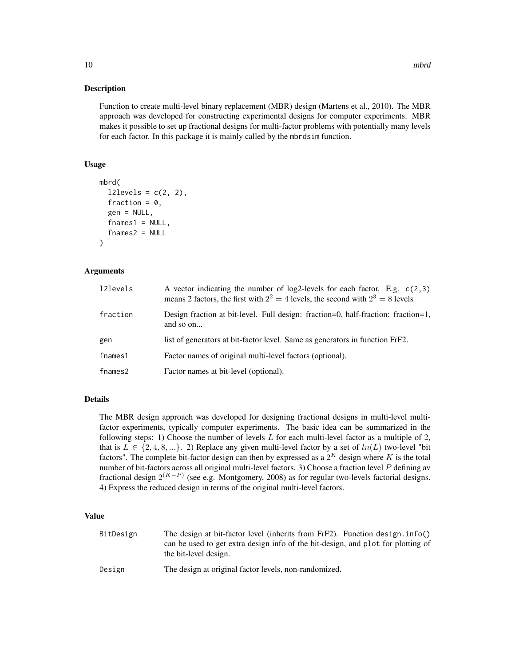Function to create multi-level binary replacement (MBR) design (Martens et al., 2010). The MBR approach was developed for constructing experimental designs for computer experiments. MBR makes it possible to set up fractional designs for multi-factor problems with potentially many levels for each factor. In this package it is mainly called by the mbrdsim function.

#### Usage

```
mbrd(
  12 levels = c(2, 2),fraction = 0,
  gen = NULL,
  fnames1 = NULL,
  fnames2 = NULL\lambda
```
#### Arguments

| 121evels | A vector indicating the number of log2-levels for each factor. E.g. $c(2,3)$<br>means 2 factors, the first with $2^2 = 4$ levels, the second with $2^3 = 8$ levels |
|----------|--------------------------------------------------------------------------------------------------------------------------------------------------------------------|
| fraction | Design fraction at bit-level. Full design: fraction=0, half-fraction: fraction=1,<br>and so on                                                                     |
| gen      | list of generators at bit-factor level. Same as generators in function FrF2.                                                                                       |
| fnames1  | Factor names of original multi-level factors (optional).                                                                                                           |
| fnames2  | Factor names at bit-level (optional).                                                                                                                              |

#### Details

The MBR design approach was developed for designing fractional designs in multi-level multifactor experiments, typically computer experiments. The basic idea can be summarized in the following steps: 1) Choose the number of levels  $L$  for each multi-level factor as a multiple of 2, that is  $L \in \{2, 4, 8, ...\}$ . 2) Replace any given multi-level factor by a set of  $ln(L)$  two-level "bit factors". The complete bit-factor design can then by expressed as a  $2^K$  design where K is the total number of bit-factors across all original multi-level factors. 3) Choose a fraction level P defining av fractional design  $2^{(K-P)}$  (see e.g. Montgomery, 2008) as for regular two-levels factorial designs. 4) Express the reduced design in terms of the original multi-level factors.

#### Value

| BitDesign | The design at bit-factor level (inherits from FrF2). Function design. $info()$                            |
|-----------|-----------------------------------------------------------------------------------------------------------|
|           | can be used to get extra design info of the bit-design, and plot for plotting of<br>the bit-level design. |
|           |                                                                                                           |
| Design    | The design at original factor levels, non-randomized.                                                     |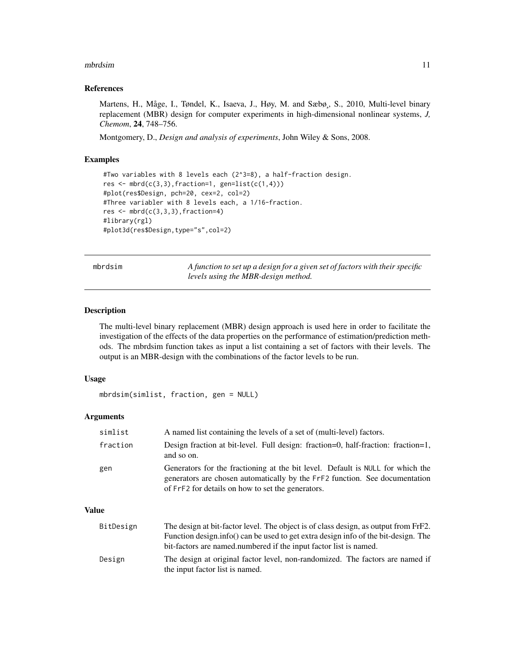#### <span id="page-10-0"></span>mbrdsim and the contract of the contract of the contract of the contract of the contract of the contract of the contract of the contract of the contract of the contract of the contract of the contract of the contract of th

#### References

Martens, H., Måge, I., Tøndel, K., Isaeva, J., Høy, M. and Sæbø, S., 2010, Multi-level binary replacement (MBR) design for computer experiments in high-dimensional nonlinear systems, *J, Chemom*, 24, 748–756.

Montgomery, D., *Design and analysis of experiments*, John Wiley & Sons, 2008.

# Examples

```
#Two variables with 8 levels each (2^3=8), a half-fraction design.
res \leq mbrd(c(3,3), fraction=1, gen=list(c(1,4)))
#plot(res$Design, pch=20, cex=2, col=2)
#Three variabler with 8 levels each, a 1/16-fraction.
res \leftarrow \text{mbrd}(c(3,3,3), fraction=4)#library(rgl)
#plot3d(res$Design,type="s",col=2)
```
mbrdsim *A function to set up a design for a given set of factors with their specific levels using the MBR-design method.*

#### **Description**

The multi-level binary replacement (MBR) design approach is used here in order to facilitate the investigation of the effects of the data properties on the performance of estimation/prediction methods. The mbrdsim function takes as input a list containing a set of factors with their levels. The output is an MBR-design with the combinations of the factor levels to be run.

# Usage

```
mbrdsim(simlist, fraction, gen = NULL)
```
#### Arguments

| simlist  | A named list containing the levels of a set of (multi-level) factors.                                                                                                                                              |
|----------|--------------------------------------------------------------------------------------------------------------------------------------------------------------------------------------------------------------------|
| fraction | Design fraction at bit-level. Full design: fraction=0, half-fraction: fraction=1,<br>and so on.                                                                                                                    |
| gen      | Generators for the fractioning at the bit level. Default is NULL for which the<br>generators are chosen automatically by the FrF2 function. See documentation<br>of FrF2 for details on how to set the generators. |

#### Value

| BitDesign | The design at bit-factor level. The object is of class design, as output from FrF2. |
|-----------|-------------------------------------------------------------------------------------|
|           | Function design.info() can be used to get extra design info of the bit-design. The  |
|           | bit-factors are named.numbered if the input factor list is named.                   |
| Design    | The design at original factor level, non-randomized. The factors are named if       |
|           | the input factor list is named.                                                     |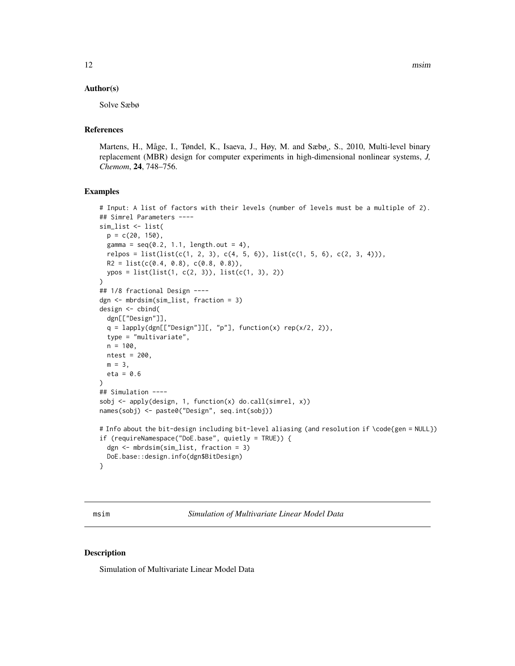#### <span id="page-11-0"></span>Author(s)

Solve Sæbø

# References

Martens, H., Måge, I., Tøndel, K., Isaeva, J., Høy, M. and Sæbø,, S., 2010, Multi-level binary replacement (MBR) design for computer experiments in high-dimensional nonlinear systems, *J, Chemom*, 24, 748–756.

#### Examples

```
# Input: A list of factors with their levels (number of levels must be a multiple of 2).
## Simrel Parameters ----
sim_list <- list(
 p = c(20, 150),
 gamma = seq(0.2, 1.1, length.out = 4),relpos = list(list(c(1, 2, 3), c(4, 5, 6)), list(c(1, 5, 6), c(2, 3, 4))),R2 = list(c(0.4, 0.8), c(0.8, 0.8)),ypos = list(list(1, c(2, 3)), list(c(1, 3), 2))
)
## 1/8 fractional Design ----
dgn <- mbrdsim(sim_list, fraction = 3)
design <- cbind(
 dgn[["Design"]],
 q = \text{lapply(dgn[["Design"]][, "p"], function(x) rep(x/2, 2)),type = "multivariate",
 n = 100,ntest = 200,
 m = 3,
 eta = 0.6\mathcal{L}## Simulation ----
sobj <- apply(design, 1, function(x) do.call(simrel, x))
names(sobj) <- paste0("Design", seq.int(sobj))
# Info about the bit-design including bit-level aliasing (and resolution if \code{gen = NULL})
if (requireNamespace("DoE.base", quietly = TRUE)) {
 dgn <- mbrdsim(sim_list, fraction = 3)
 DoE.base::design.info(dgn$BitDesign)
}
```
msim *Simulation of Multivariate Linear Model Data*

#### Description

Simulation of Multivariate Linear Model Data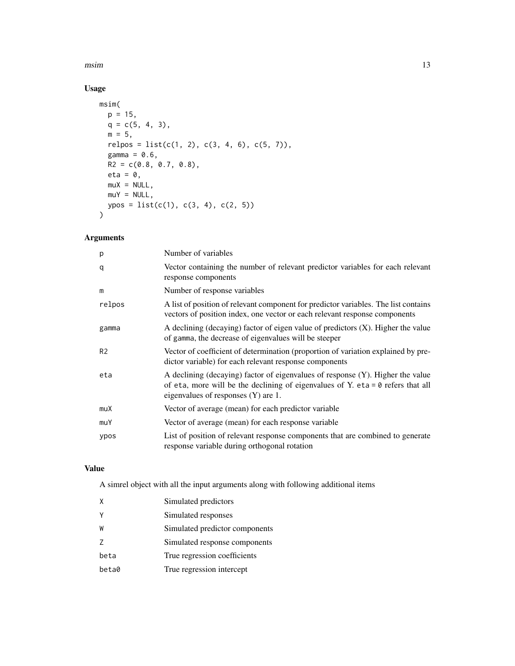$\text{msim}$  13

# Usage

```
msim(
  p = 15,
 q = c(5, 4, 3),
  m = 5,relpos = list(c(1, 2), c(3, 4, 6), c(5, 7)),gamma = 0.6,
  R2 = c(0.8, 0.7, 0.8),eta = 0,
  muX = NULL,muY = NULL,ypos = list(c(1), c(3, 4), c(2, 5))\mathcal{L}
```
# Arguments

| p              | Number of variables                                                                                                                                                                                             |
|----------------|-----------------------------------------------------------------------------------------------------------------------------------------------------------------------------------------------------------------|
| q              | Vector containing the number of relevant predictor variables for each relevant<br>response components                                                                                                           |
| m              | Number of response variables                                                                                                                                                                                    |
| relpos         | A list of position of relevant component for predictor variables. The list contains<br>vectors of position index, one vector or each relevant response components                                               |
| gamma          | A declining (decaying) factor of eigen value of predictors (X). Higher the value<br>of gamma, the decrease of eigenvalues will be steeper                                                                       |
| R <sub>2</sub> | Vector of coefficient of determination (proportion of variation explained by pre-<br>dictor variable) for each relevant response components                                                                     |
| eta            | A declining (decaying) factor of eigenvalues of response (Y). Higher the value<br>of eta, more will be the declining of eigenvalues of Y. eta = $\theta$ refers that all<br>eigenvalues of responses (Y) are 1. |
| muX            | Vector of average (mean) for each predictor variable                                                                                                                                                            |
| muY            | Vector of average (mean) for each response variable                                                                                                                                                             |
| ypos           | List of position of relevant response components that are combined to generate<br>response variable during orthogonal rotation                                                                                  |

# Value

A simrel object with all the input arguments along with following additional items

| X     | Simulated predictors           |
|-------|--------------------------------|
| Υ     | Simulated responses            |
| W     | Simulated predictor components |
| 7     | Simulated response components  |
| beta  | True regression coefficients   |
| beta0 | True regression intercept      |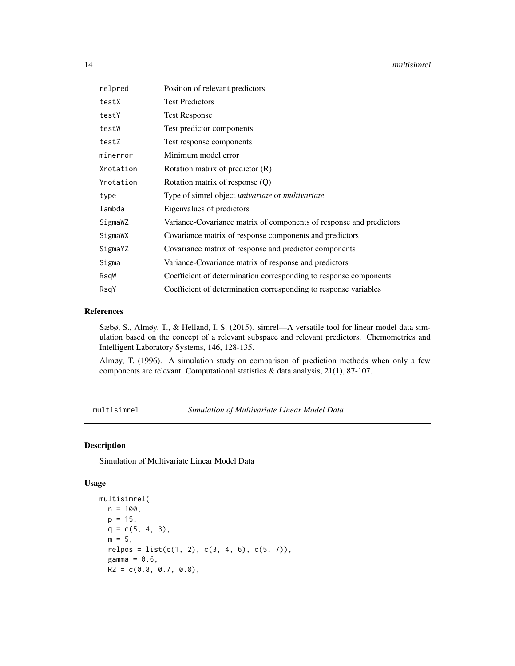#### <span id="page-13-0"></span>14 multisimrel

| relpred   | Position of relevant predictors                                     |
|-----------|---------------------------------------------------------------------|
| testX     | <b>Test Predictors</b>                                              |
| testY     | <b>Test Response</b>                                                |
| testW     | Test predictor components                                           |
| testZ     | Test response components                                            |
| minerror  | Minimum model error                                                 |
| Xrotation | Rotation matrix of predictor $(R)$                                  |
| Yrotation | Rotation matrix of response $(Q)$                                   |
| type      | Type of simrel object <i>univariate</i> or <i>multivariate</i>      |
| lambda    | Eigenvalues of predictors                                           |
| SigmaWZ   | Variance-Covariance matrix of components of response and predictors |
| SigmaWX   | Covariance matrix of response components and predictors             |
| SigmaYZ   | Covariance matrix of response and predictor components              |
| Sigma     | Variance-Covariance matrix of response and predictors               |
| RsqW      | Coefficient of determination corresponding to response components   |
| RsqY      | Coefficient of determination corresponding to response variables    |

#### References

Sæbø, S., Almøy, T., & Helland, I. S. (2015). simrel—A versatile tool for linear model data simulation based on the concept of a relevant subspace and relevant predictors. Chemometrics and Intelligent Laboratory Systems, 146, 128-135.

Almøy, T. (1996). A simulation study on comparison of prediction methods when only a few components are relevant. Computational statistics & data analysis, 21(1), 87-107.

<span id="page-13-1"></span>multisimrel *Simulation of Multivariate Linear Model Data*

#### Description

Simulation of Multivariate Linear Model Data

#### Usage

```
multisimrel(
 n = 100,p = 15,
 q = c(5, 4, 3),
 m = 5,
 relpos = list(c(1, 2), c(3, 4, 6), c(5, 7)),gamma = 0.6,
 R2 = c(0.8, 0.7, 0.8),
```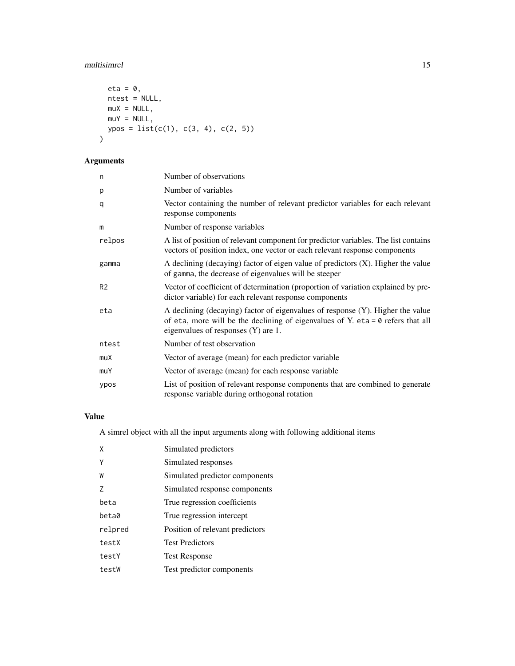# multisimrel 15

```
eta = \theta,
 ntest = NULL,
 muX = NULL,muY = NULL,ypos = list(c(1), c(3, 4), c(2, 5)))
```
# Arguments

| n              | Number of observations                                                                                                                                                                                          |
|----------------|-----------------------------------------------------------------------------------------------------------------------------------------------------------------------------------------------------------------|
| p              | Number of variables                                                                                                                                                                                             |
| q              | Vector containing the number of relevant predictor variables for each relevant<br>response components                                                                                                           |
| m              | Number of response variables                                                                                                                                                                                    |
| relpos         | A list of position of relevant component for predictor variables. The list contains<br>vectors of position index, one vector or each relevant response components                                               |
| gamma          | A declining (decaying) factor of eigen value of predictors $(X)$ . Higher the value<br>of gamma, the decrease of eigenvalues will be steeper                                                                    |
| R <sub>2</sub> | Vector of coefficient of determination (proportion of variation explained by pre-<br>dictor variable) for each relevant response components                                                                     |
| eta            | A declining (decaying) factor of eigenvalues of response (Y). Higher the value<br>of eta, more will be the declining of eigenvalues of Y. eta = $\theta$ refers that all<br>eigenvalues of responses (Y) are 1. |
| ntest          | Number of test observation                                                                                                                                                                                      |
| muX            | Vector of average (mean) for each predictor variable                                                                                                                                                            |
| muY            | Vector of average (mean) for each response variable                                                                                                                                                             |
| ypos           | List of position of relevant response components that are combined to generate<br>response variable during orthogonal rotation                                                                                  |

# Value

A simrel object with all the input arguments along with following additional items

| X       | Simulated predictors            |
|---------|---------------------------------|
| γ       | Simulated responses             |
| W       | Simulated predictor components  |
| 7       | Simulated response components   |
| beta    | True regression coefficients    |
| beta0   | True regression intercept       |
| relpred | Position of relevant predictors |
| testX   | <b>Test Predictors</b>          |
| testY   | <b>Test Response</b>            |
| testW   | Test predictor components       |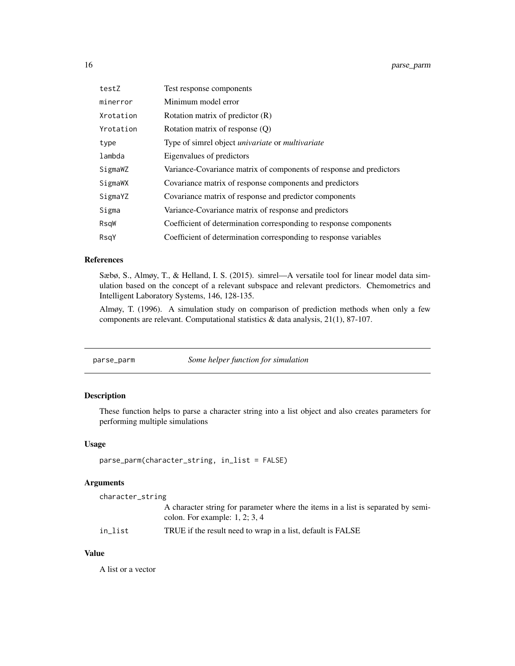<span id="page-15-0"></span>

| testZ     | Test response components                                            |  |
|-----------|---------------------------------------------------------------------|--|
| minerror  | Minimum model error                                                 |  |
| Xrotation | Rotation matrix of predictor $(R)$                                  |  |
| Yrotation | Rotation matrix of response (Q)                                     |  |
| type      | Type of simrel object <i>univariate</i> or <i>multivariate</i>      |  |
| lambda    | Eigenvalues of predictors                                           |  |
| SigmaWZ   | Variance-Covariance matrix of components of response and predictors |  |
| SigmaWX   | Covariance matrix of response components and predictors             |  |
| SigmaYZ   | Covariance matrix of response and predictor components              |  |
| Sigma     | Variance-Covariance matrix of response and predictors               |  |
| RsqW      | Coefficient of determination corresponding to response components   |  |
| RsqY      | Coefficient of determination corresponding to response variables    |  |

#### References

Sæbø, S., Almøy, T., & Helland, I. S. (2015). simrel—A versatile tool for linear model data simulation based on the concept of a relevant subspace and relevant predictors. Chemometrics and Intelligent Laboratory Systems, 146, 128-135.

Almøy, T. (1996). A simulation study on comparison of prediction methods when only a few components are relevant. Computational statistics & data analysis, 21(1), 87-107.

| parse_parm | Some helper function for simulation |
|------------|-------------------------------------|
|            |                                     |

# Description

These function helps to parse a character string into a list object and also creates parameters for performing multiple simulations

#### Usage

```
parse_parm(character_string, in_list = FALSE)
```
#### Arguments

character\_string

| A character string for parameter where the items in a list is separated by semi- |
|----------------------------------------------------------------------------------|
| colon. For example: $1, 2, 3, 4$                                                 |

in\_list TRUE if the result need to wrap in a list, default is FALSE

# Value

A list or a vector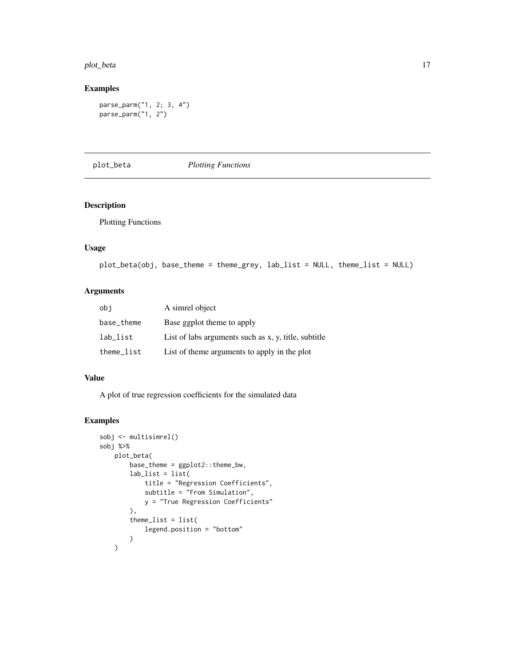#### <span id="page-16-0"></span>plot\_beta 17

# Examples

```
parse_parm("1, 2; 3, 4")
parse_parm("1, 2")
```
#### plot\_beta *Plotting Functions*

# Description

Plotting Functions

# Usage

```
plot_beta(obj, base_theme = theme_grey, lab_list = NULL, theme_list = NULL)
```
# Arguments

| obi        | A simrel object                                      |
|------------|------------------------------------------------------|
| base_theme | Base ggplot theme to apply                           |
| lab_list   | List of labs arguments such as x, y, title, subtitle |
| theme_list | List of theme arguments to apply in the plot         |

#### Value

A plot of true regression coefficients for the simulated data

```
sobj <- multisimrel()
sobj %>%
   plot_beta(
       base_theme = ggplot2::theme_bw,
       lab_list = list(
           title = "Regression Coefficients",
           subtitle = "From Simulation",
           y = "True Regression Coefficients"
       ),
       thene_list = list(legend.position = "bottom"
       )
   )
```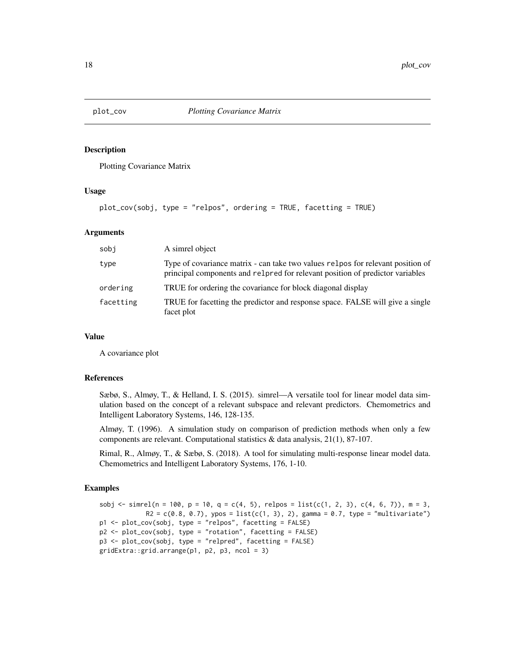<span id="page-17-0"></span>

Plotting Covariance Matrix

#### Usage

plot\_cov(sobj, type = "relpos", ordering = TRUE, facetting = TRUE)

#### Arguments

| sobj      | A simrel object                                                                                                                                                  |
|-----------|------------------------------------------------------------------------------------------------------------------------------------------------------------------|
| type      | Type of covariance matrix - can take two values relpos for relevant position of<br>principal components and related for relevant position of predictor variables |
| ordering  | TRUE for ordering the covariance for block diagonal display                                                                                                      |
| facetting | TRUE for facetting the predictor and response space. FALSE will give a single<br>facet plot                                                                      |

#### Value

A covariance plot

#### References

Sæbø, S., Almøy, T., & Helland, I. S. (2015). simrel—A versatile tool for linear model data simulation based on the concept of a relevant subspace and relevant predictors. Chemometrics and Intelligent Laboratory Systems, 146, 128-135.

Almøy, T. (1996). A simulation study on comparison of prediction methods when only a few components are relevant. Computational statistics  $\&$  data analysis, 21(1), 87-107.

Rimal, R., Almøy, T., & Sæbø, S. (2018). A tool for simulating multi-response linear model data. Chemometrics and Intelligent Laboratory Systems, 176, 1-10.

```
sobj \le simrel(n = 100, p = 10, q = c(4, 5), relpos = list(c(1, 2, 3), c(4, 6, 7)), m = 3,
            R2 = c(0.8, 0.7), ypos = list(c(1, 3), 2), gamma = 0.7, type = "multivariate")
p1 <- plot_cov(sobj, type = "relpos", facetting = FALSE)
p2 <- plot_cov(sobj, type = "rotation", facetting = FALSE)
p3 <- plot_cov(sobj, type = "relpred", facetting = FALSE)
gridExtra::grid.arrange(p1, p2, p3, ncol = 3)
```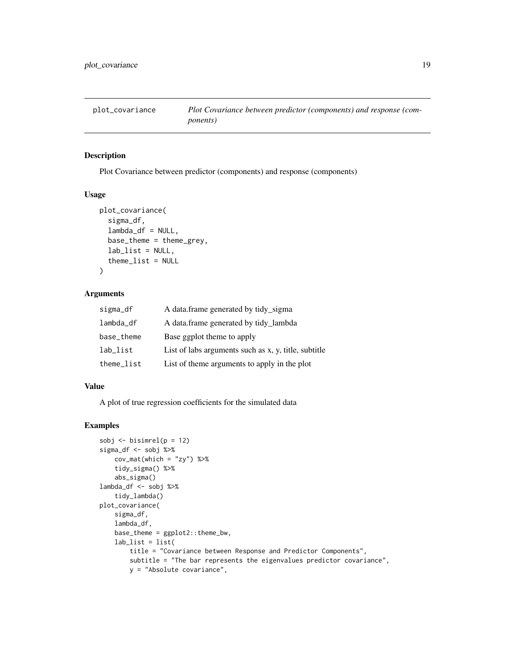<span id="page-18-0"></span>

Plot Covariance between predictor (components) and response (components)

#### Usage

```
plot_covariance(
  sigma_df,
  lambda_df = NULL,
  base_theme = theme_grey,
  lab\_list = NULL,thene_list = NULL)
```
# Arguments

| sigma_df   | A data.frame generated by tidy_sigma                 |
|------------|------------------------------------------------------|
| lambda_df  | A data.frame generated by tidy_lambda                |
| base_theme | Base ggplot theme to apply                           |
| lab_list   | List of labs arguments such as x, y, title, subtitle |
| theme_list | List of theme arguments to apply in the plot         |

#### Value

A plot of true regression coefficients for the simulated data

```
sobj \leftarrow bisimrel(p = 12)
sigma_df <- sobj %>%
   cov_mat(which = "zy") %>%
    tidy_sigma() %>%
   abs_sigma()
lambda_df <- sobj %>%
   tidy_lambda()
plot_covariance(
   sigma_df,
   lambda_df,
   base_theme = ggplot2::theme_bw,
   lab\_list = list(title = "Covariance between Response and Predictor Components",
       subtitle = "The bar represents the eigenvalues predictor covariance",
       y = "Absolute covariance",
```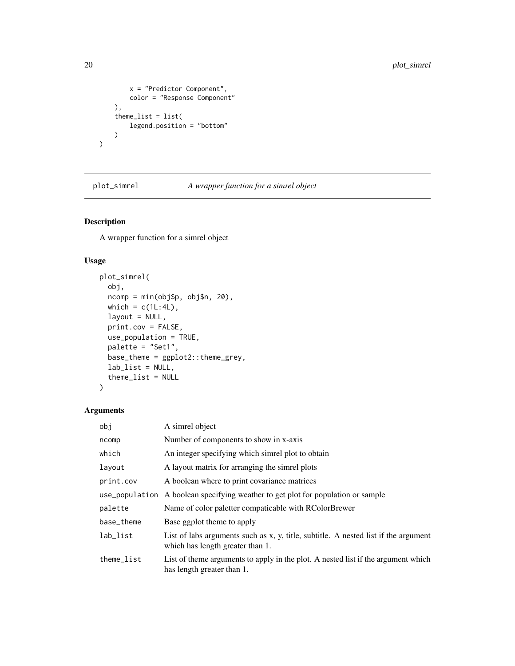```
x = "Predictor Component",color = "Response Component"
   ),
   theme_list = list(
       legend.position = "bottom"
   )
)
```
plot\_simrel *A wrapper function for a simrel object*

# Description

A wrapper function for a simrel object

# Usage

```
plot_simrel(
 obj,
 ncomp = min(obj$p, obj$n, 20),
 which = c(1L:4L),
 layout = NULL,
 print.cov = FALSE,
 use_population = TRUE,
 palette = "Set1",
 base_theme = ggplot2::theme_grey,
 lab_list = NULL,
  theme_list = NULL
)
```
#### Arguments

| obj            | A simrel object                                                                                                         |
|----------------|-------------------------------------------------------------------------------------------------------------------------|
| ncomp          | Number of components to show in x-axis                                                                                  |
| which          | An integer specifying which simrel plot to obtain                                                                       |
| layout         | A layout matrix for arranging the simrel plots                                                                          |
| print.cov      | A boolean where to print covariance matrices                                                                            |
| use_population | A boolean specifying weather to get plot for population or sample                                                       |
| palette        | Name of color paletter compaticable with RColorBrewer                                                                   |
| base_theme     | Base ggplot theme to apply                                                                                              |
| lab_list       | List of labs arguments such as x, y, title, subtitle. A nested list if the argument<br>which has length greater than 1. |
| theme_list     | List of theme arguments to apply in the plot. A nested list if the argument which<br>has length greater than 1.         |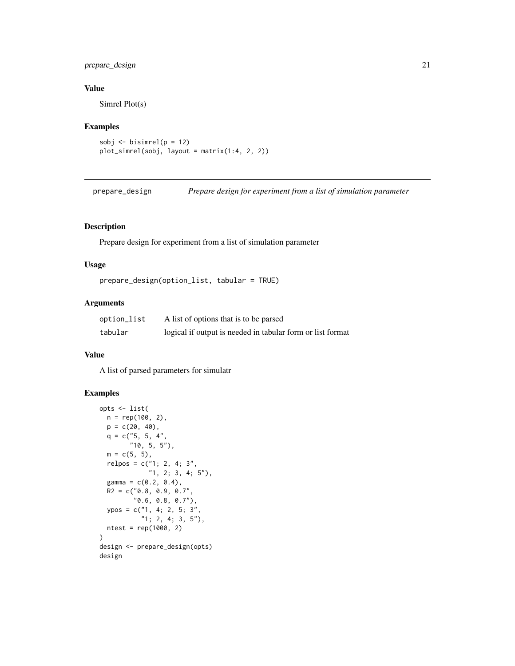# <span id="page-20-0"></span>prepare\_design 21

# Value

Simrel Plot(s)

#### Examples

```
sobj \le bisimrel(p = 12)
plot_simrel(sobj, layout = matrix(1:4, 2, 2))
```
prepare\_design *Prepare design for experiment from a list of simulation parameter*

# Description

Prepare design for experiment from a list of simulation parameter

# Usage

prepare\_design(option\_list, tabular = TRUE)

#### Arguments

| option_list | A list of options that is to be parsed                     |
|-------------|------------------------------------------------------------|
| tabular     | logical if output is needed in tabular form or list format |

#### Value

A list of parsed parameters for simulatr

```
opts <- list(
 n = rep(100, 2),
  p = c(20, 40),
  q = c("5, 5, 4","10, 5, 5"),
  m = c(5, 5),
  relpos = c("1; 2, 4; 3","1, 2; 3, 4; 5"),
  gamma = c(0.2, 0.4),
  R2 = c("0.8, 0.9, 0.7","0.6, 0.8, 0.7"),
  ypos = c("1, 4; 2, 5; 3","1; 2, 4; 3, 5"),
  ntest = rep(1000, 2)
)
design <- prepare_design(opts)
design
```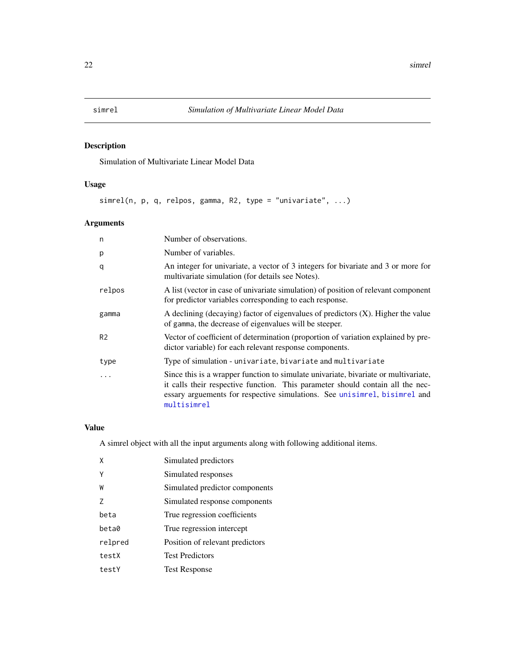<span id="page-21-0"></span>Simulation of Multivariate Linear Model Data

# Usage

simrel(n, p, q, relpos, gamma, R2, type = "univariate", ...)

# Arguments

| n              | Number of observations.                                                                                                                                                                                                                                             |
|----------------|---------------------------------------------------------------------------------------------------------------------------------------------------------------------------------------------------------------------------------------------------------------------|
| p              | Number of variables.                                                                                                                                                                                                                                                |
| q              | An integer for univariate, a vector of 3 integers for bivariate and 3 or more for<br>multivariate simulation (for details see Notes).                                                                                                                               |
| relpos         | A list (vector in case of univariate simulation) of position of relevant component<br>for predictor variables corresponding to each response.                                                                                                                       |
| gamma          | A declining (decaying) factor of eigenvalues of predictors (X). Higher the value<br>of gamma, the decrease of eigenvalues will be steeper.                                                                                                                          |
| R <sub>2</sub> | Vector of coefficient of determination (proportion of variation explained by pre-<br>dictor variable) for each relevant response components.                                                                                                                        |
| type           | Type of simulation - univariate, bivariate and multivariate                                                                                                                                                                                                         |
|                | Since this is a wrapper function to simulate univariate, bivariate or multivariate,<br>it calls their respective function. This parameter should contain all the nec-<br>essary arguements for respective simulations. See unisimizel, bisimizel and<br>multisimrel |

# Value

A simrel object with all the input arguments along with following additional items.

| X       | Simulated predictors            |
|---------|---------------------------------|
| Y       | Simulated responses             |
| W       | Simulated predictor components  |
| 7       | Simulated response components   |
| heta    | True regression coefficients    |
| beta0   | True regression intercept       |
| relpred | Position of relevant predictors |
| testX   | <b>Test Predictors</b>          |
| testY   | <b>Test Response</b>            |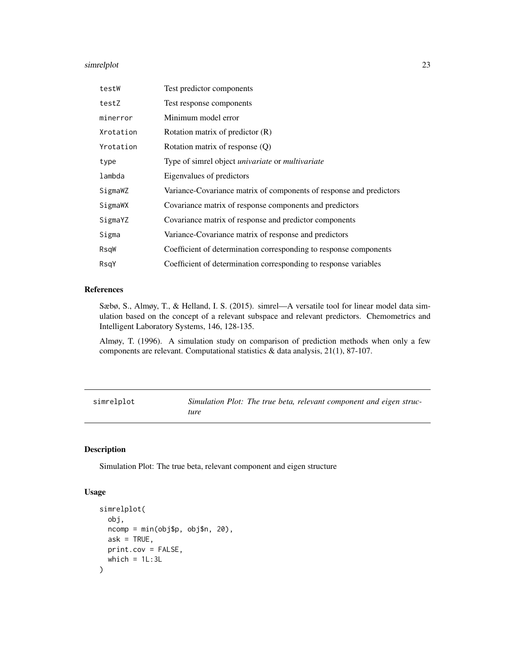#### <span id="page-22-0"></span>simrelplot 23

| testW     | Test predictor components                                           |
|-----------|---------------------------------------------------------------------|
| testZ     | Test response components                                            |
| minerror  | Minimum model error                                                 |
| Xrotation | Rotation matrix of predictor (R)                                    |
| Yrotation | Rotation matrix of response (Q)                                     |
| type      | Type of simrel object <i>univariate</i> or <i>multivariate</i>      |
| lambda    | Eigenvalues of predictors                                           |
| SigmaWZ   | Variance-Covariance matrix of components of response and predictors |
| SigmaWX   | Covariance matrix of response components and predictors             |
| SigmaYZ   | Covariance matrix of response and predictor components              |
| Sigma     | Variance-Covariance matrix of response and predictors               |
| RsqW      | Coefficient of determination corresponding to response components   |
| RsqY      | Coefficient of determination corresponding to response variables    |

# References

Sæbø, S., Almøy, T., & Helland, I. S. (2015). simrel—A versatile tool for linear model data simulation based on the concept of a relevant subspace and relevant predictors. Chemometrics and Intelligent Laboratory Systems, 146, 128-135.

Almøy, T. (1996). A simulation study on comparison of prediction methods when only a few components are relevant. Computational statistics & data analysis, 21(1), 87-107.

simrelplot *Simulation Plot: The true beta, relevant component and eigen structure*

# Description

Simulation Plot: The true beta, relevant component and eigen structure

#### Usage

```
simrelplot(
 obj,
 ncomp = min(obj$p, obj$n, 20),
 ask = TRUE,
 print.cov = FALSE,
 which = 1L:3L)
```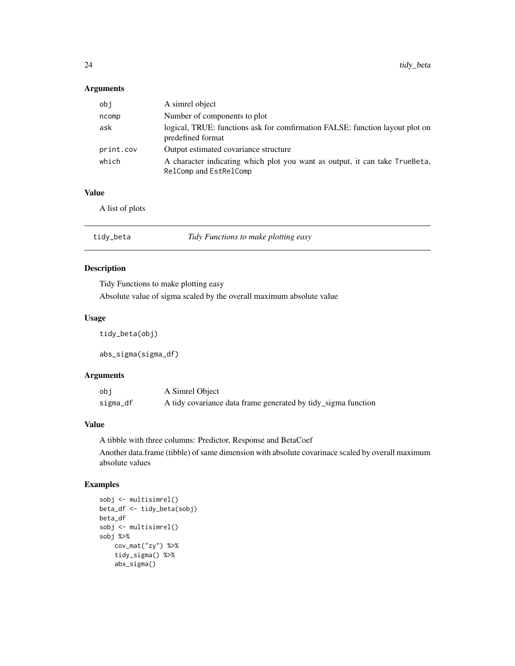#### <span id="page-23-0"></span>Arguments

| obj       | A simrel object                                                                                       |
|-----------|-------------------------------------------------------------------------------------------------------|
| ncomp     | Number of components to plot                                                                          |
| ask       | logical, TRUE: functions ask for comfirmation FALSE: function layout plot on<br>predefined format     |
| print.cov | Output estimated covariance structure                                                                 |
| which     | A character indicating which plot you want as output, it can take TrueBeta,<br>RelComp and EstRelComp |

# Value

A list of plots

| tidy_beta | Tidy Functions to make plotting easy |  |
|-----------|--------------------------------------|--|
|-----------|--------------------------------------|--|

# Description

Tidy Functions to make plotting easy

Absolute value of sigma scaled by the overall maximum absolute value

# Usage

tidy\_beta(obj)

abs\_sigma(sigma\_df)

# Arguments

| obi      | A Simrel Object                                               |
|----------|---------------------------------------------------------------|
| sigma_df | A tidy covariance data frame generated by tidy_sigma function |

#### Value

A tibble with three columns: Predictor, Response and BetaCoef

Another data.frame (tibble) of same dimension with absolute covarinace scaled by overall maximum absolute values

```
sobj <- multisimrel()
beta_df <- tidy_beta(sobj)
beta_df
sobj <- multisimrel()
sobj %>%
    cov_mat("zy") %>%
    tidy_sigma() %>%
    abs_sigma()
```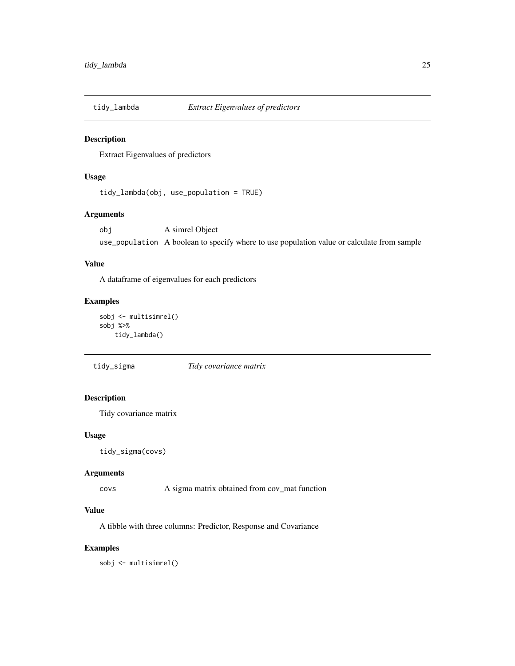<span id="page-24-0"></span>

Extract Eigenvalues of predictors

# Usage

```
tidy_lambda(obj, use_population = TRUE)
```
#### Arguments

obj A simrel Object use\_population A boolean to specify where to use population value or calculate from sample

#### Value

A dataframe of eigenvalues for each predictors

#### Examples

sobj <- multisimrel() sobj %>% tidy\_lambda()

tidy\_sigma *Tidy covariance matrix*

# Description

Tidy covariance matrix

#### Usage

tidy\_sigma(covs)

#### Arguments

covs A sigma matrix obtained from cov\_mat function

#### Value

A tibble with three columns: Predictor, Response and Covariance

#### Examples

sobj <- multisimrel()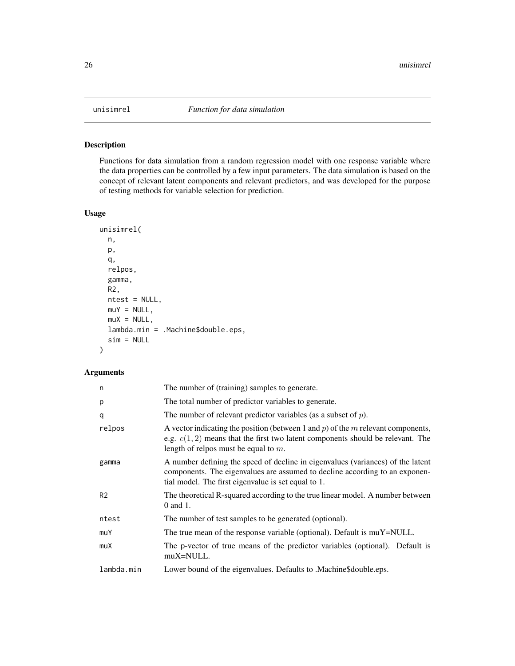<span id="page-25-1"></span><span id="page-25-0"></span>

Functions for data simulation from a random regression model with one response variable where the data properties can be controlled by a few input parameters. The data simulation is based on the concept of relevant latent components and relevant predictors, and was developed for the purpose of testing methods for variable selection for prediction.

# Usage

```
unisimrel(
  n,
 p,
  q,
  relpos,
  gamma,
 R2,
  ntest = NULL,
 muY = NULL,muX = NULL,lambda.min = .Machine$double.eps,
  sim = NULL
)
```
# Arguments

| n              | The number of (training) samples to generate.                                                                                                                                                                         |
|----------------|-----------------------------------------------------------------------------------------------------------------------------------------------------------------------------------------------------------------------|
| р              | The total number of predictor variables to generate.                                                                                                                                                                  |
| q              | The number of relevant predictor variables (as a subset of $p$ ).                                                                                                                                                     |
| relpos         | A vector indicating the position (between 1 and $p$ ) of the $m$ relevant components,<br>e.g. $c(1,2)$ means that the first two latent components should be relevant. The<br>length of relpos must be equal to $m$ .  |
| gamma          | A number defining the speed of decline in eigenvalues (variances) of the latent<br>components. The eigenvalues are assumed to decline according to an exponen-<br>tial model. The first eigenvalue is set equal to 1. |
| R <sub>2</sub> | The theoretical R-squared according to the true linear model. A number between<br>0 and 1.                                                                                                                            |
| ntest          | The number of test samples to be generated (optional).                                                                                                                                                                |
| muY            | The true mean of the response variable (optional). Default is muY=NULL.                                                                                                                                               |
| muX            | The p-vector of true means of the predictor variables (optional). Default is<br>muX=NULL.                                                                                                                             |
| lambda.min     | Lower bound of the eigenvalues. Defaults to .Machine\$double.eps.                                                                                                                                                     |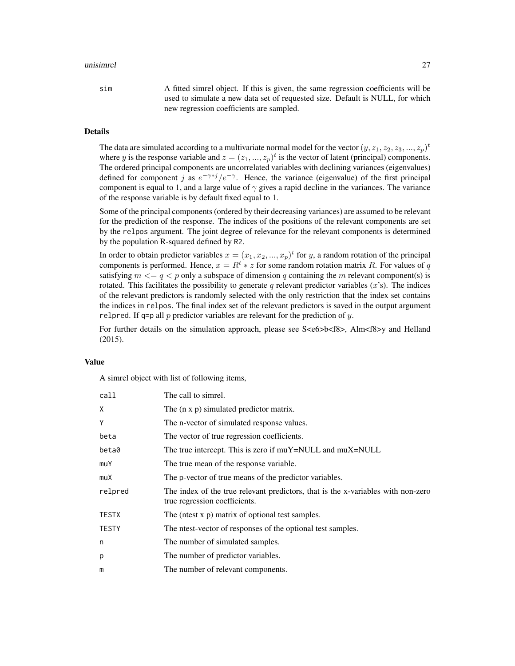#### unisimrel 27

sim A fitted simrel object. If this is given, the same regression coefficients will be used to simulate a new data set of requested size. Default is NULL, for which new regression coefficients are sampled.

# Details

The data are simulated according to a multivariate normal model for the vector  $(y,z_1,z_2,z_3,...,z_p)^t$ where y is the response variable and  $z = (z_1, ..., z_p)^t$  is the vector of latent (principal) components. The ordered principal components are uncorrelated variables with declining variances (eigenvalues) defined for component j as  $e^{-\gamma * j}/e^{-\gamma}$ . Hence, the variance (eigenvalue) of the first principal component is equal to 1, and a large value of  $\gamma$  gives a rapid decline in the variances. The variance of the response variable is by default fixed equal to 1.

Some of the principal components (ordered by their decreasing variances) are assumed to be relevant for the prediction of the response. The indices of the positions of the relevant components are set by the relpos argument. The joint degree of relevance for the relevant components is determined by the population R-squared defined by R2.

In order to obtain predictor variables  $x = (x_1, x_2, ..., x_p)^t$  for y, a random rotation of the principal components is performed. Hence,  $x = R^t * z$  for some random rotation matrix R. For values of q satisfying  $m \leq q \leq p$  only a subspace of dimension q containing the m relevant component(s) is rotated. This facilitates the possibility to generate q relevant predictor variables  $(x's)$ . The indices of the relevant predictors is randomly selected with the only restriction that the index set contains the indices in relpos. The final index set of the relevant predictors is saved in the output argument relpred. If q=p all p predictor variables are relevant for the prediction of y.

For further details on the simulation approach, please see S<e6>b<f8>, Alm<f8>y and Helland (2015).

#### Value

A simrel object with list of following items,

| call         | The call to simrel.                                                                                               |
|--------------|-------------------------------------------------------------------------------------------------------------------|
| X            | The $(n \times p)$ simulated predictor matrix.                                                                    |
| Y            | The n-vector of simulated response values.                                                                        |
| beta         | The vector of true regression coefficients.                                                                       |
| beta0        | The true intercept. This is zero if muY=NULL and muX=NULL                                                         |
| muY          | The true mean of the response variable.                                                                           |
| muX          | The p-vector of true means of the predictor variables.                                                            |
| relpred      | The index of the true relevant predictors, that is the x-variables with non-zero<br>true regression coefficients. |
| <b>TESTX</b> | The (ntest $x$ $p$ ) matrix of optional test samples.                                                             |
| <b>TESTY</b> | The ntest-vector of responses of the optional test samples.                                                       |
| n            | The number of simulated samples.                                                                                  |
| p            | The number of predictor variables.                                                                                |
| m            | The number of relevant components.                                                                                |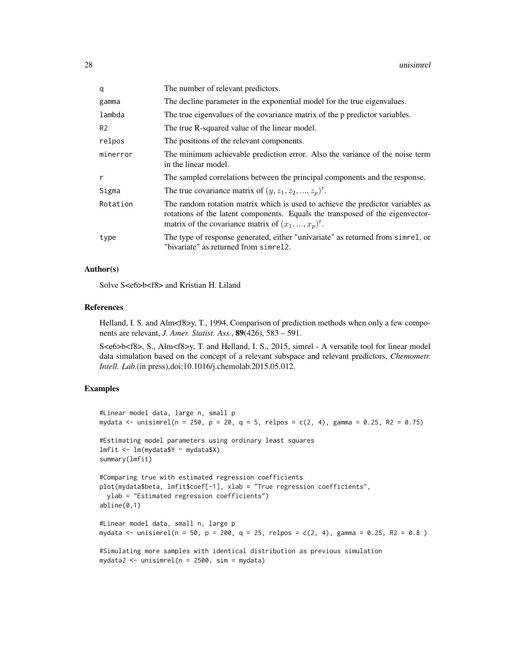| q              | The number of relevant predictors.                                                                                                                                                                                       |
|----------------|--------------------------------------------------------------------------------------------------------------------------------------------------------------------------------------------------------------------------|
| gamma          | The decline parameter in the exponential model for the true eigenvalues.                                                                                                                                                 |
| lambda         | The true eigenvalues of the covariance matrix of the p predictor variables.                                                                                                                                              |
| R <sub>2</sub> | The true R-squared value of the linear model.                                                                                                                                                                            |
| relpos         | The positions of the relevant components.                                                                                                                                                                                |
| minerror       | The minimum achievable prediction error. Also the variance of the noise term<br>in the linear model.                                                                                                                     |
| r              | The sampled correlations between the principal components and the response.                                                                                                                                              |
| Sigma          | The true covariance matrix of $(y, z_1, z_2, , z_p)^t$ .                                                                                                                                                                 |
| Rotation       | The random rotation matrix which is used to achieve the predictor variables as<br>rotations of the latent components. Equals the transposed of the eigenvector-<br>matrix of the covariance matrix of $(x_1, , x_p)^t$ . |
| type           | The type of response generated, either "univariate" as returned from simple, or<br>"bivariate" as returned from simrel2.                                                                                                 |

#### Author(s)

Solve S<e6>b<f8> and Kristian H. Liland

#### References

Helland, I. S. and Alm<f8>y, T., 1994, Comparison of prediction methods when only a few components are relevant, *J. Amer. Statist. Ass.*, 89(426), 583 – 591.

S<e6>b<f8>, S., Alm<f8>y, T. and Helland, I. S., 2015, simrel - A versatile tool for linear model data simulation based on the concept of a relevant subspace and relevant predictors, *Chemometr. Intell. Lab.*(in press),doi:10.1016/j.chemolab.2015.05.012.

```
#Linear model data, large n, small p
mydata \le unisimrel(n = 250, p = 20, q = 5, relpos = c(2, 4), gamma = 0.25, R2 = 0.75)
#Estimating model parameters using ordinary least squares
lmfit <- lm(mydata$Y ~ mydata$X)
summary(lmfit)
#Comparing true with estimated regression coefficients
plot(mydata$beta, lmfit$coef[-1], xlab = "True regression coefficients",
 ylab = "Estimated regression coefficients")
abline(0,1)
#Linear model data, small n, large p
mydata <- unisimrel(n = 50, p = 200, q = 25, relpos = c(2, 4), gamma = 0.25, R2 = 0.8)
#Simulating more samples with identical distribution as previous simulation
mydata2 <- unisimrel(n = 2500, sim = mydata)
```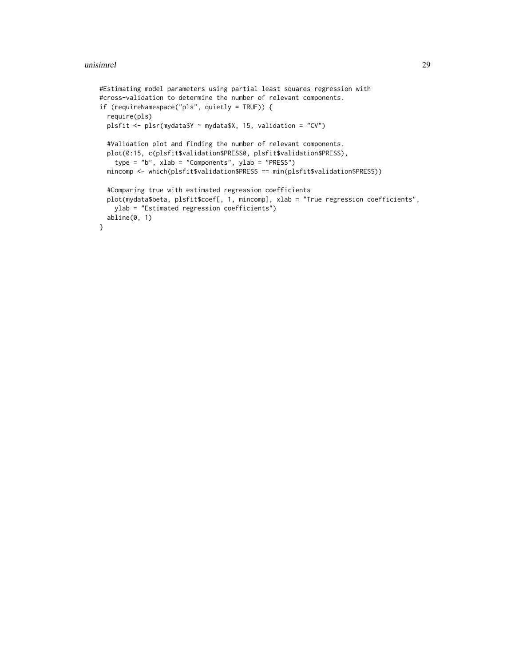#### unisimrel 29

```
#Estimating model parameters using partial least squares regression with
#cross-validation to determine the number of relevant components.
if (requireNamespace("pls", quietly = TRUE)) {
  require(pls)
  plsfit <- plsr(mydata$Y ~ mydata$X, 15, validation = "CV")
  #Validation plot and finding the number of relevant components.
  plot(0:15, c(plsfit$validation$PRESS0, plsfit$validation$PRESS),
    type = "b", xlab = "Components", ylab = "PRESS")
  mincomp <- which(plsfit$validation$PRESS == min(plsfit$validation$PRESS))
  #Comparing true with estimated regression coefficients
  plot(mydata$beta, plsfit$coef[, 1, mincomp], xlab = "True regression coefficients",
   ylab = "Estimated regression coefficients")
  abline(0, 1)
}
```